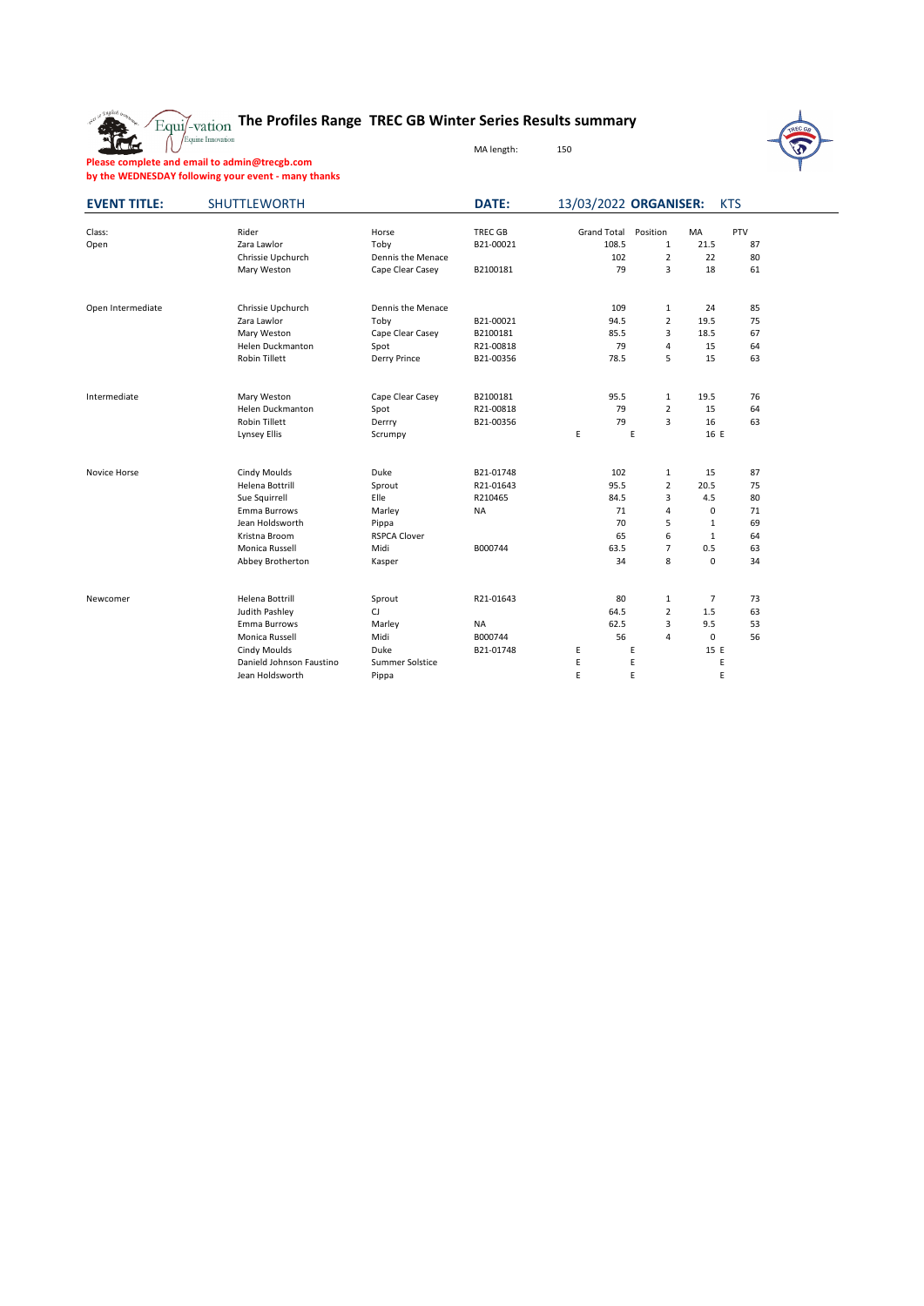The

## **The Profiles Range TREC GB Winter Series Results summary**

MA length: 150



**Please complete and email to admin@trecgb.com by the WEDNESDAY following your event - many thanks**

| <b>EVENT TITLE:</b> | <b>SHUTTLEWORTH</b>      |                     | <b>DATE:</b>   | 13/03/2022 ORGANISER: |                         |                | <b>KTS</b> |  |
|---------------------|--------------------------|---------------------|----------------|-----------------------|-------------------------|----------------|------------|--|
| Class:              | Rider                    | Horse               | <b>TREC GB</b> | <b>Grand Total</b>    | Position                | MA             | PTV        |  |
| Open                | Zara Lawlor              | Toby                | B21-00021      | 108.5                 | $\mathbf{1}$            | 21.5           | 87         |  |
|                     | Chrissie Upchurch        | Dennis the Menace   |                | 102                   | 2                       | 22             | 80         |  |
|                     | Mary Weston              | Cape Clear Casey    | B2100181       | 79                    | 3                       | 18             | 61         |  |
| Open Intermediate   | Chrissie Upchurch        | Dennis the Menace   |                | 109                   | $\mathbf{1}$            | 24             | 85         |  |
|                     | Zara Lawlor              | Toby                | B21-00021      | 94.5                  | $\overline{2}$          | 19.5           | 75         |  |
|                     | Mary Weston              | Cape Clear Casey    | B2100181       | 85.5                  | 3                       | 18.5           | 67         |  |
|                     | Helen Duckmanton         | Spot                | R21-00818      | 79                    | $\overline{4}$          | 15             | 64         |  |
|                     | Robin Tillett            | Derry Prince        | B21-00356      | 78.5                  | 5                       | 15             | 63         |  |
| Intermediate        | Mary Weston              | Cape Clear Casey    | B2100181       | 95.5                  | $\mathbf{1}$            | 19.5           | 76         |  |
|                     | Helen Duckmanton         | Spot                | R21-00818      | 79                    | $\overline{2}$          | 15             | 64         |  |
|                     | <b>Robin Tillett</b>     | Derrry              | B21-00356      | 79                    | 3                       | 16             | 63         |  |
|                     | Lynsey Ellis             | Scrumpy             |                | E                     | E                       | 16 E           |            |  |
| Novice Horse        | Cindy Moulds             | Duke                | B21-01748      | 102                   | $\mathbf 1$             | 15             | 87         |  |
|                     | Helena Bottrill          | Sprout              | R21-01643      | 95.5                  | $\overline{2}$          | 20.5           | 75         |  |
|                     | Sue Squirrell            | Elle                | R210465        | 84.5                  | 3                       | 4.5            | 80         |  |
|                     | Emma Burrows             | Marley              | <b>NA</b>      | 71                    | 4                       | 0              | 71         |  |
|                     | Jean Holdsworth          | Pippa               |                | 70                    | 5                       | $\mathbf{1}$   | 69         |  |
|                     | Kristna Broom            | <b>RSPCA Clover</b> |                | 65                    | 6                       | $\mathbf{1}$   | 64         |  |
|                     | Monica Russell           | Midi                | B000744        | 63.5                  | $\overline{7}$          | 0.5            | 63         |  |
|                     | Abbey Brotherton         | Kasper              |                | 34                    | 8                       | $\mathbf 0$    | 34         |  |
| Newcomer            | Helena Bottrill          | Sprout              | R21-01643      | 80                    | $\mathbf 1$             | $\overline{7}$ | 73         |  |
|                     | Judith Pashley           | CJ                  |                | 64.5                  | $\overline{2}$          | 1.5            | 63         |  |
|                     | Emma Burrows             | Marley              | NA             | 62.5                  | 3                       | 9.5            | 53         |  |
|                     | Monica Russell           | Midi                | B000744        | 56                    | $\overline{\mathbf{4}}$ | 0              | 56         |  |
|                     | <b>Cindy Moulds</b>      | Duke                | B21-01748      | E                     | Ε                       | 15 E           |            |  |
|                     | Danield Johnson Faustino | Summer Solstice     |                | E                     | E                       | E              |            |  |
|                     | Jean Holdsworth          | Pippa               |                | E                     | E                       | E              |            |  |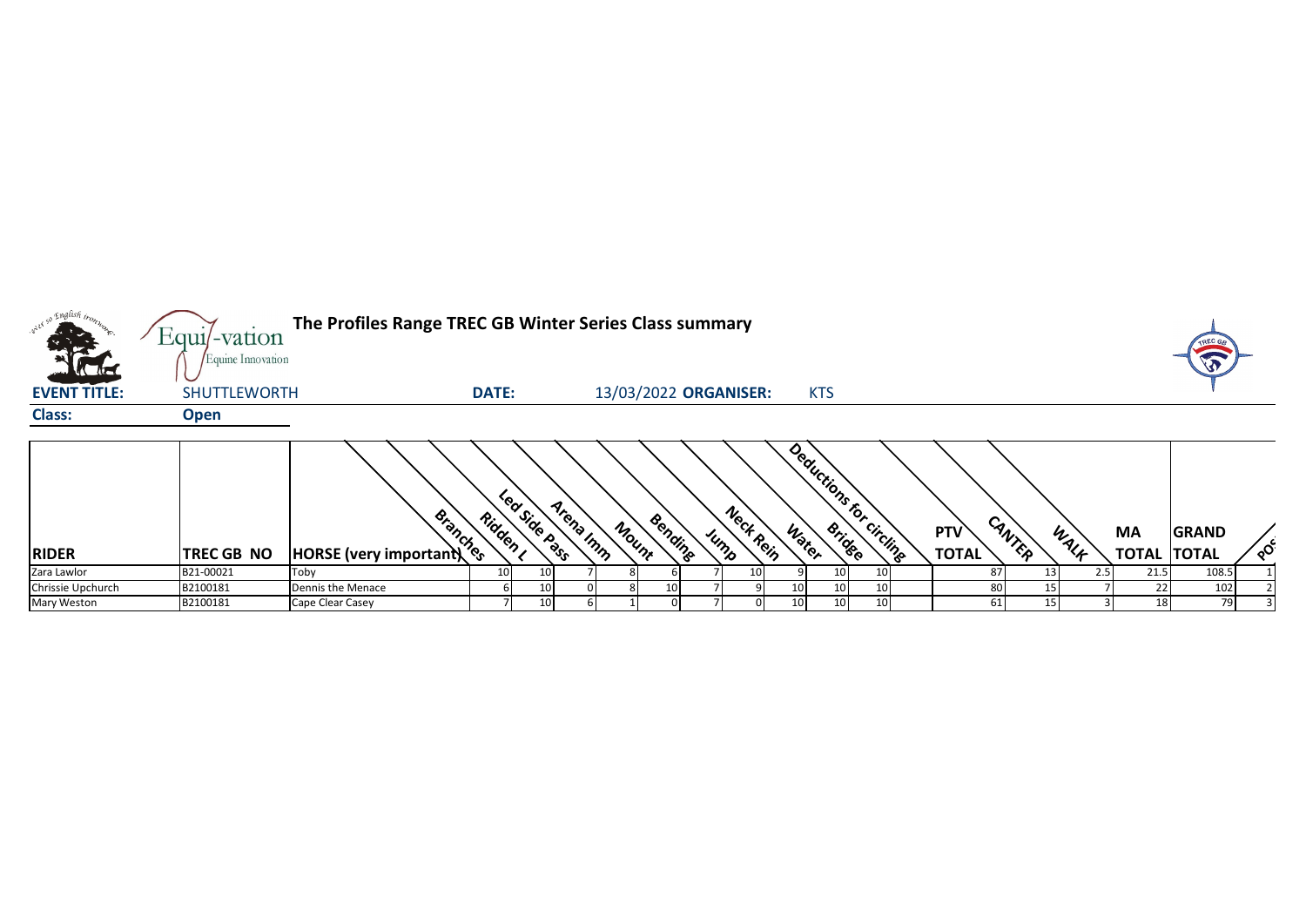| what so English tros.                   |                   | The Profiles Range TREC GB Winter Series Class summary<br>Equil-vation<br>Equine Innovation |                 |                 |           |       |         |           |                       |    |            |                         |  |              |        |      |                    | TREC G       |          |
|-----------------------------------------|-------------------|---------------------------------------------------------------------------------------------|-----------------|-----------------|-----------|-------|---------|-----------|-----------------------|----|------------|-------------------------|--|--------------|--------|------|--------------------|--------------|----------|
| <b>Catalogue</b><br><b>EVENT TITLE:</b> | SHUTTLEWORTH      |                                                                                             | <b>DATE:</b>    |                 |           |       |         |           | 13/03/2022 ORGANISER: |    | <b>KTS</b> |                         |  |              |        |      |                    | LO           |          |
| <b>Class:</b>                           | <b>Open</b>       |                                                                                             |                 |                 |           |       |         |           |                       |    |            |                         |  |              |        |      |                    |              |          |
|                                         |                   | <b>Books</b><br>HORSE (very important)                                                      | Ridden ,        | Led Side Pass   | Arena Imm | Mount | Bending | $\mu_{h}$ | Neck Rein             |    |            | Deductions for circling |  | <b>PTV</b>   | CANTER | WALF | <b>MA</b>          | <b>GRAND</b> | $\delta$ |
| <b>RIDER</b>                            | <b>TREC GB NO</b> |                                                                                             |                 |                 |           |       |         |           |                       |    |            |                         |  | <b>TOTAL</b> |        |      | <b>TOTAL TOTAL</b> |              |          |
| Zara Lawlor                             | B21-00021         | Toby                                                                                        | 10 <sup>1</sup> | 10 <sup>1</sup> |           |       |         |           | 10                    |    | 10         |                         |  | 87           |        |      | 21.5               | 108.5        |          |
| Chrissie Upchurch                       | B2100181          | Dennis the Menace                                                                           | h               | 10              |           |       | 10      |           |                       | 10 | 10         | 10                      |  | 80           |        |      | 22                 | 102          |          |
| Mary Weston                             | B2100181          | Cape Clear Casey                                                                            |                 | 10              |           |       |         |           |                       | 10 | 10         | 10                      |  | 61           |        |      | 18                 | 79           |          |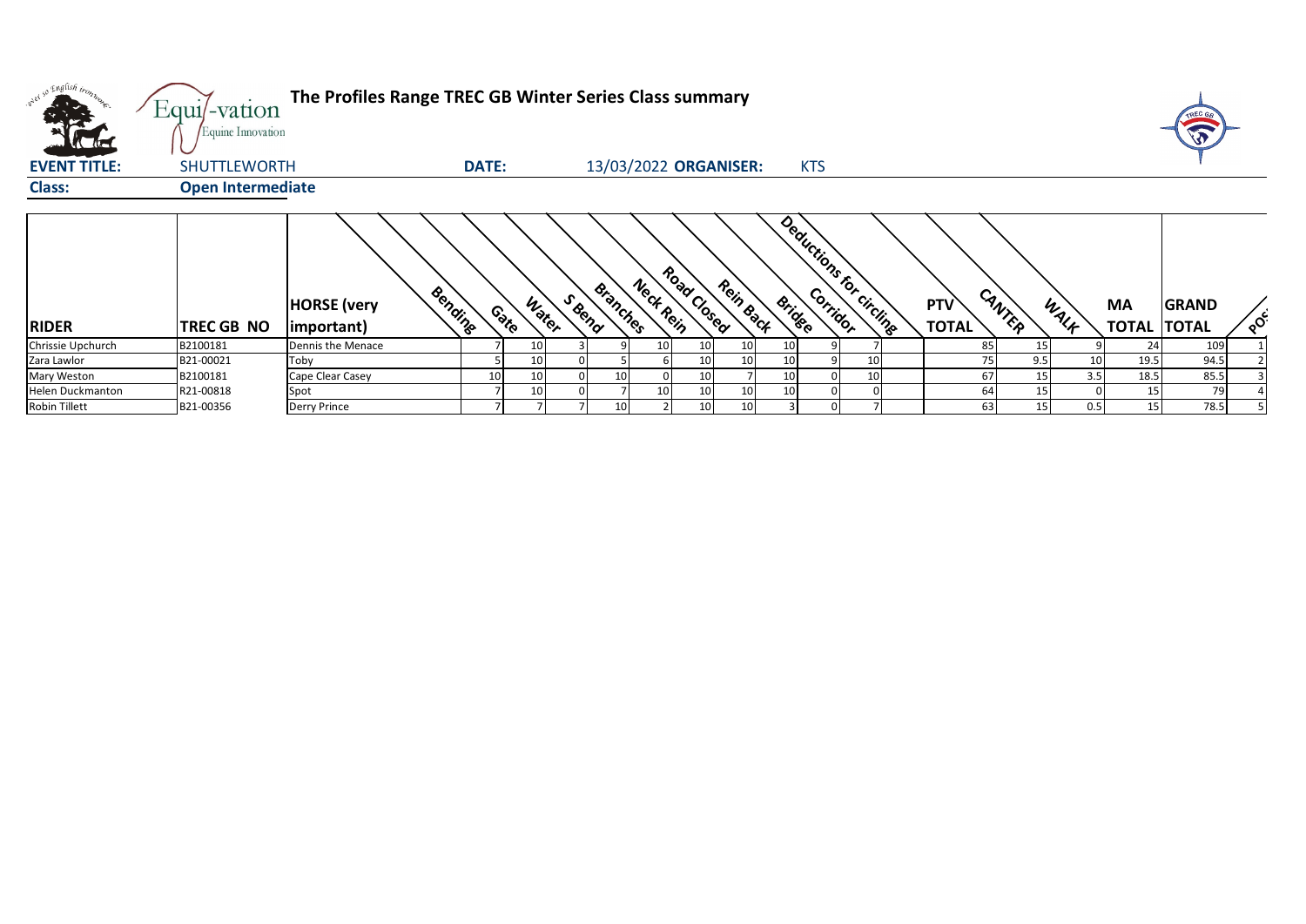| what so English tront<br>$\sqrt{16}$ | The Profiles Range TREC GB Winter Series Class summary<br>Equi/-vation<br>Equine Innovation<br>13/03/2022 ORGANISER:<br><b>DATE:</b><br>SHUTTLEWORTH<br><b>KTS</b> |                                             |    |                |        |                 |                          |                 |                 |    |  |                          |                     |        |      |                                 | TREC G       |          |
|--------------------------------------|--------------------------------------------------------------------------------------------------------------------------------------------------------------------|---------------------------------------------|----|----------------|--------|-----------------|--------------------------|-----------------|-----------------|----|--|--------------------------|---------------------|--------|------|---------------------------------|--------------|----------|
| <b>EVENT TITLE:</b>                  |                                                                                                                                                                    |                                             |    |                |        |                 |                          |                 |                 |    |  |                          |                     |        |      |                                 |              |          |
| <b>Class:</b>                        | <b>Open Intermediate</b>                                                                                                                                           |                                             |    |                |        |                 |                          |                 |                 |    |  |                          |                     |        |      |                                 |              |          |
| <b>RIDER</b>                         | TREC GB NO                                                                                                                                                         | Bending<br><b>HORSE</b> (very<br>important) |    | Water<br>Conto | S Bend | Branches        | Road Closed<br>Neck Rein |                 | Rein Back       |    |  | Deductions for circlings | PTV<br><b>TOTAL</b> | CANTER | WALF | <b>MA</b><br><b>TOTAL TOTAL</b> | <b>GRAND</b> | $\delta$ |
| Chrissie Upchurch                    | B2100181                                                                                                                                                           | Dennis the Menace                           |    | 10             |        |                 | 10 <sub>l</sub>          | 10              | 10 <sup>1</sup> | 10 |  |                          | 85                  |        |      | 24                              | 109          |          |
| Zara Lawlor                          | B21-00021                                                                                                                                                          | Toby                                        |    | 10             |        |                 |                          | 10 <sup>1</sup> | 10              | 10 |  |                          | 75                  | 9.5    | 10   | 19.5                            | 94.5         |          |
| Mary Weston                          | B2100181                                                                                                                                                           | Cape Clear Casey                            | 10 | 10             | 0      | 10 <sup>1</sup> |                          | 10 <sup>1</sup> |                 | 10 |  |                          | 67                  | 15     | 3.5  | 18.5                            | 85.5         |          |
| Helen Duckmanton                     | R21-00818                                                                                                                                                          | Spot                                        |    | 10             |        |                 | 10 <sub>1</sub>          | 10 <sup>1</sup> | 10              | 10 |  |                          | 64                  |        |      | 15                              | 79           |          |
| Robin Tillett                        | B21-00356                                                                                                                                                          | <b>Derry Prince</b>                         |    |                |        | 10 <sup>1</sup> |                          | 10 <sup>1</sup> | 10 <sup>1</sup> |    |  |                          | 63                  | 15     | 0.5  | 15                              | 78.5         |          |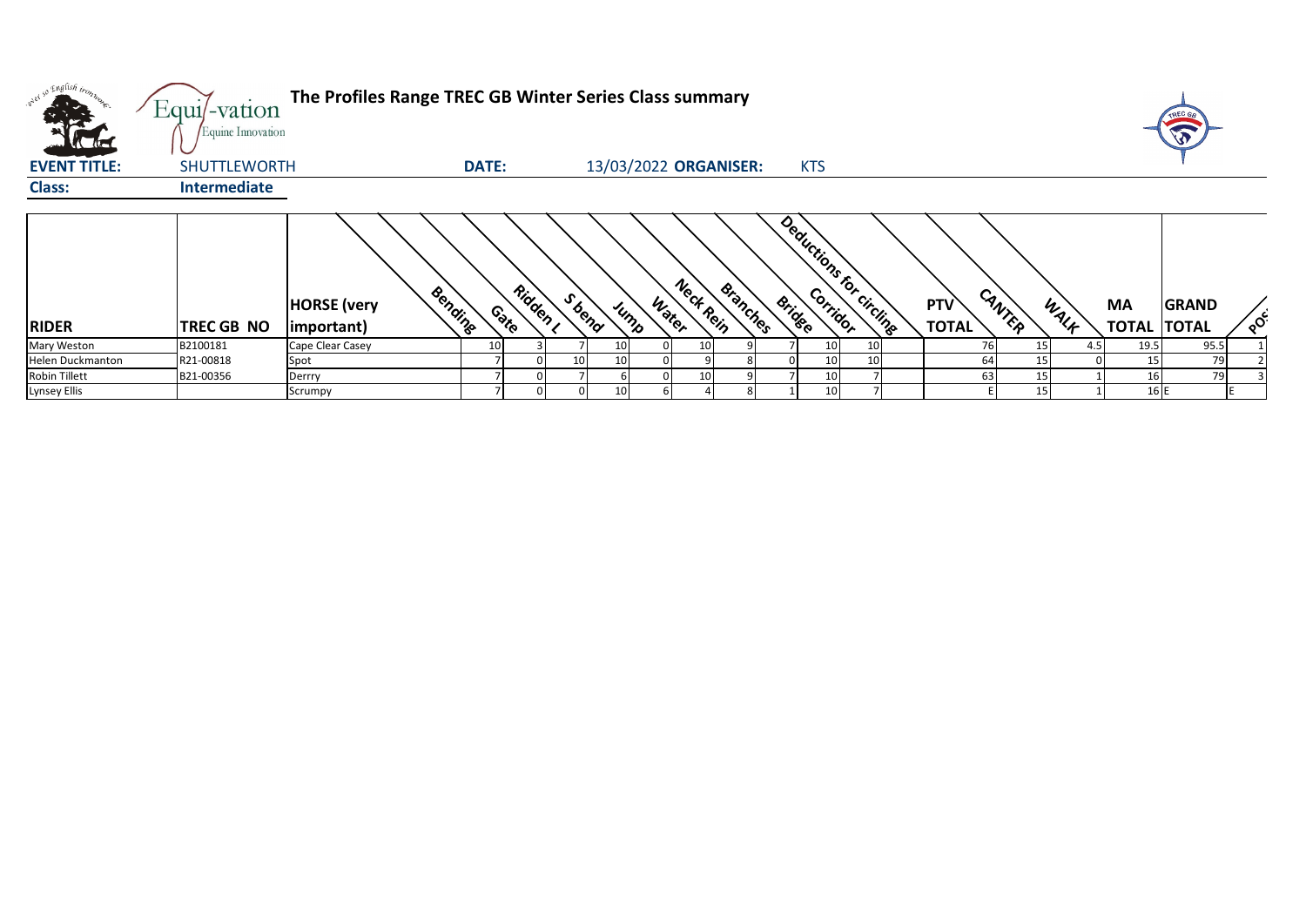| what so English trong<br>$\sqrt{10}$ | Equi/-vation<br>Equine Innovation | The Profiles Range TREC GB Winter Series Class summary<br>13/03/2022 ORGANISER:<br><b>DATE:</b><br><b>KTS</b> |        |        |                 |                 |  |                    |          |  |                                           |  |  |                     |        |      |                                 |              |          |
|--------------------------------------|-----------------------------------|---------------------------------------------------------------------------------------------------------------|--------|--------|-----------------|-----------------|--|--------------------|----------|--|-------------------------------------------|--|--|---------------------|--------|------|---------------------------------|--------------|----------|
| <b>EVENT TITLE:</b>                  | SHUTTLEWORTH                      |                                                                                                               |        |        |                 |                 |  |                    |          |  |                                           |  |  |                     |        |      |                                 |              |          |
| <b>Class:</b>                        | <b>Intermediate</b>               |                                                                                                               |        |        |                 |                 |  |                    |          |  |                                           |  |  |                     |        |      |                                 |              |          |
| <b>RIDER</b>                         | TREC GB NO                        | Bending<br><b>HORSE</b> (very<br>important)                                                                   | Contro | Ridden | S bend          | Jump            |  | Neck Rein<br>Water | Branches |  | Deductions for circlings<br><b>Bridge</b> |  |  | PTV<br><b>TOTAL</b> | CANTER | WALF | <b>MA</b><br><b>TOTAL TOTAL</b> | <b>GRAND</b> | $\delta$ |
| Mary Weston                          | B2100181                          | Cape Clear Casey                                                                                              | 10     |        |                 | 10 <sup>1</sup> |  | 10 <sup>1</sup>    |          |  | 10 <sub>l</sub>                           |  |  | 76                  |        | 4.5  | 19.5                            | 95.5         |          |
| Helen Duckmanton                     | R21-00818                         | Spot                                                                                                          |        |        | 10 <sup>1</sup> | 10              |  |                    |          |  | 10                                        |  |  | 64                  |        |      | 15                              | 79           |          |
| <b>Robin Tillett</b>                 | B21-00356                         | Derrry                                                                                                        |        |        |                 |                 |  | 10                 |          |  |                                           |  |  | 63                  |        |      | 16 <sub>1</sub>                 | 79           |          |
| <b>Lynsey Ellis</b>                  |                                   | Scrumpy                                                                                                       |        |        |                 | 10              |  |                    |          |  |                                           |  |  |                     |        |      | 16 E                            |              |          |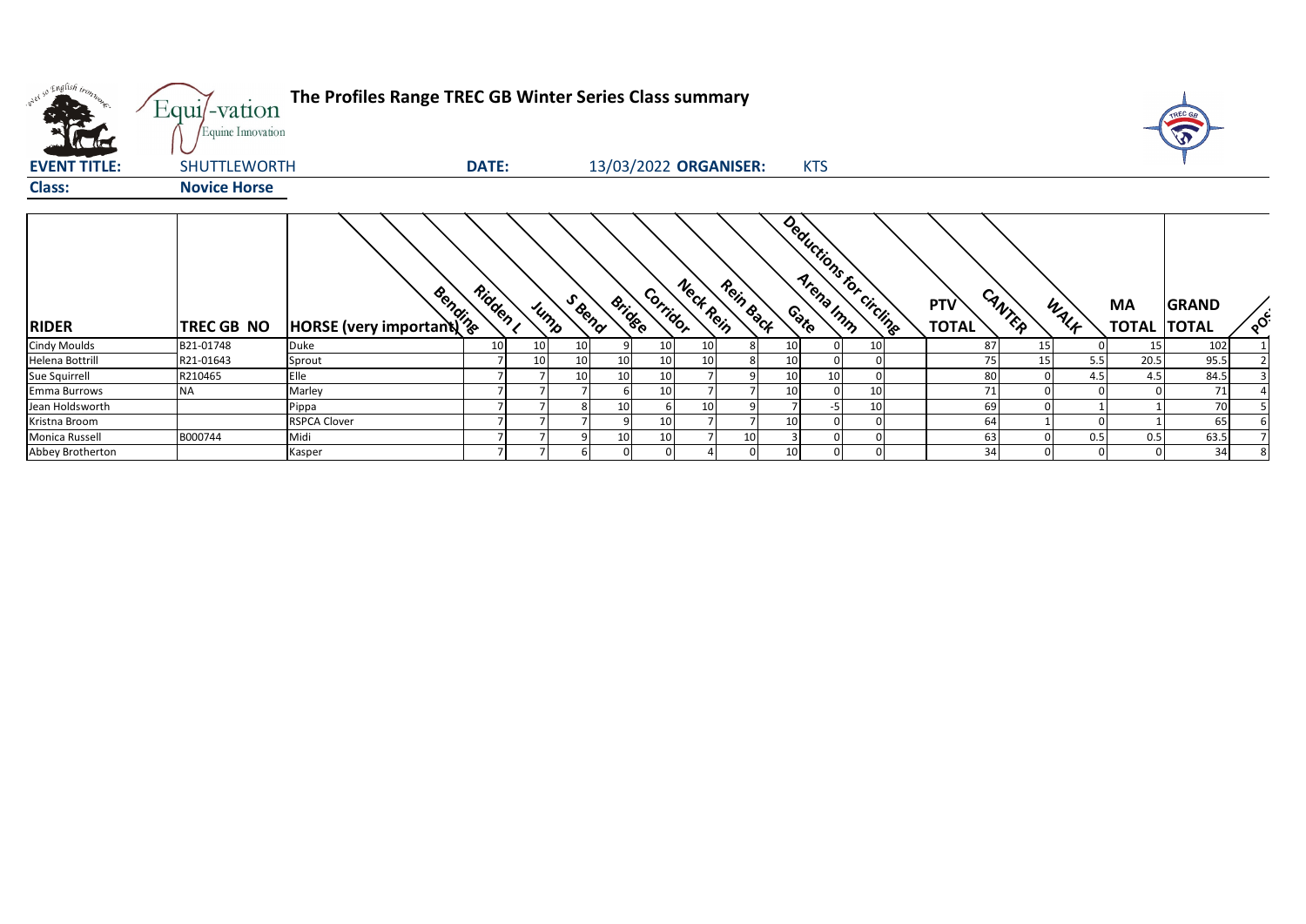| w <sup>ed 50</sup> English bronze.<br><b>A</b> | Equi/-vation<br>Equine Innovation | The Profiles Range TREC GB Winter Series Class summary |                 |      |                 |                       |                       |           |    |                          |                            |                 |      |                          | TREC GA      |          |
|------------------------------------------------|-----------------------------------|--------------------------------------------------------|-----------------|------|-----------------|-----------------------|-----------------------|-----------|----|--------------------------|----------------------------|-----------------|------|--------------------------|--------------|----------|
| <b>EVENT TITLE:</b>                            | <b>SHUTTLEWORTH</b>               |                                                        | <b>DATE:</b>    |      |                 | 13/03/2022 ORGANISER: |                       |           |    | <b>KTS</b>               |                            |                 |      |                          |              |          |
| <b>Class:</b>                                  | <b>Novice Horse</b>               |                                                        |                 |      |                 |                       |                       |           |    |                          |                            |                 |      |                          |              |          |
| <b>RIDER</b>                                   | <b>TREC GB NO</b>                 | <b>Books</b><br>HORSE (very important)                 | Ridden I        | Jump | S Bend          | <b>Bridge</b>         | Neck Rein<br>Corridor | Rein Back |    | Deductions for circlings | <b>PTV</b><br><b>TOTAL</b> | CANTER          | WALF | MA<br><b>TOTAL TOTAL</b> | <b>GRAND</b> | $\delta$ |
| <b>Cindy Moulds</b>                            | B21-01748                         | Duke                                                   | 10 <sup>1</sup> | 10   | 10 <sup>1</sup> | 10 <sup>1</sup>       |                       |           |    | 10                       | 87                         | 15 <sub>l</sub> |      | 15                       | 102          |          |
| Helena Bottrill                                | R21-01643                         | Sprout                                                 |                 | 10   | 10              | 10                    |                       |           |    |                          |                            | 15              | 5.5  | 20.5                     | 95.5         |          |
| Sue Squirrell                                  | R210465                           | Elle                                                   |                 |      | 10              | 10<br>10              |                       |           |    | 10                       | 80                         |                 | 4.5  | 4.5                      | 84.5         |          |
| Emma Burrows                                   | NA                                | Marley                                                 |                 |      |                 | 10                    |                       |           |    | 10                       | 71                         |                 |      |                          | 71           |          |
| Jean Holdsworth                                |                                   | Pippa                                                  |                 |      |                 | 10                    |                       |           |    | -5<br>10                 | 69                         |                 |      |                          | 70           |          |
| Kristna Broom                                  |                                   | <b>RSPCA Clover</b>                                    |                 |      |                 | 10                    |                       |           | 10 |                          | 64                         |                 |      |                          | 65           |          |
| Monica Russell                                 | B000744                           | Midi                                                   |                 |      |                 | 10<br>10              |                       | 10        |    |                          | 63                         |                 | 0.5  | 0.5                      | 63.5         |          |
| Abbey Brotherton                               |                                   | Kasper                                                 | $\overline{ }$  |      |                 |                       |                       |           | 10 |                          | 34                         |                 |      |                          | 34           |          |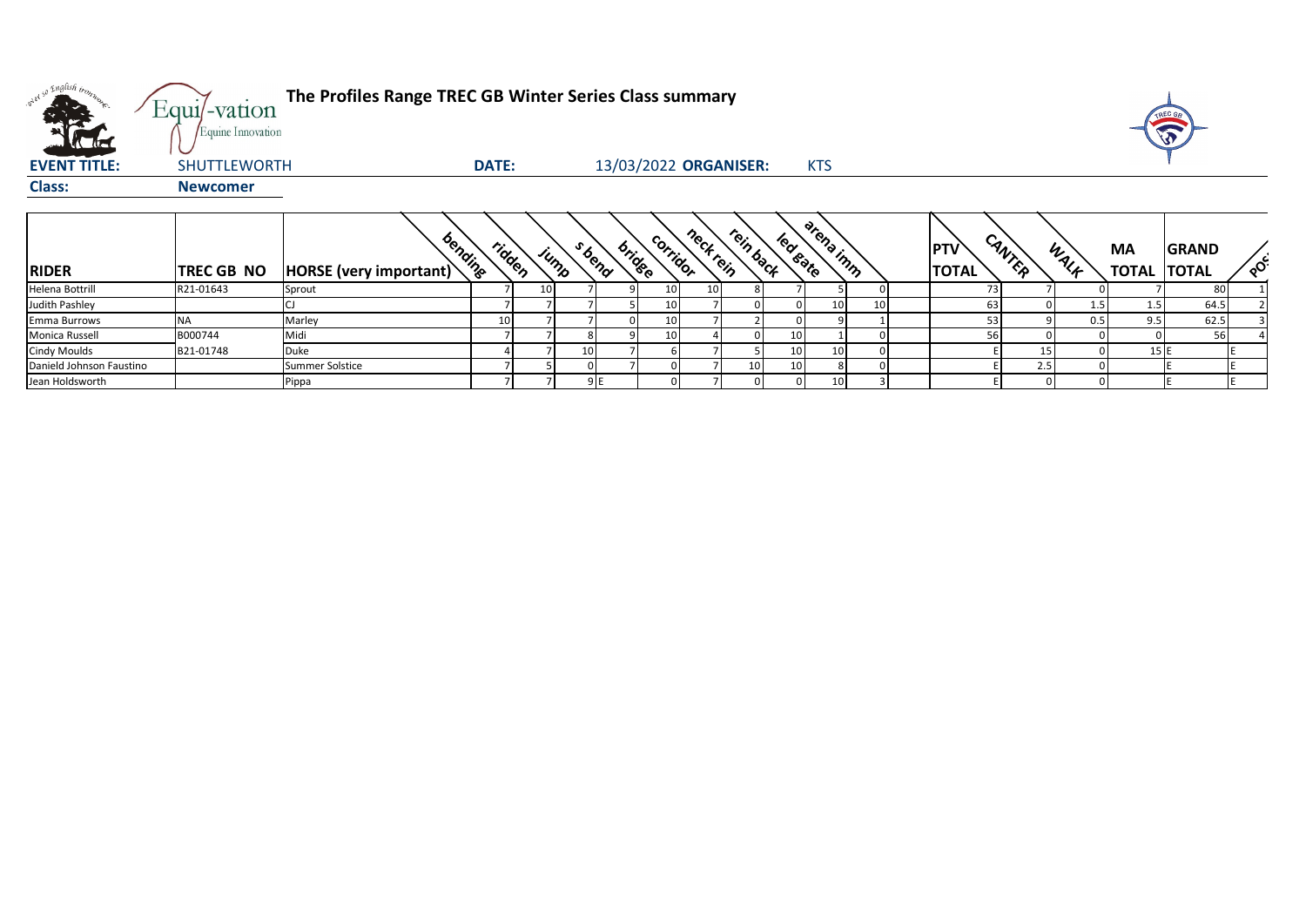| over so English bon.<br><b>Little Little</b> | The Profiles Range TREC GB Winter Series Class summary<br>Equi/-vation<br>Equine Innovation |                                   |              |                 |                |        |          |                 |                       |                 |           |    |  |                            |        |      |                    | TREC G<br>T                  |          |
|----------------------------------------------|---------------------------------------------------------------------------------------------|-----------------------------------|--------------|-----------------|----------------|--------|----------|-----------------|-----------------------|-----------------|-----------|----|--|----------------------------|--------|------|--------------------|------------------------------|----------|
| <b>EVENT TITLE:</b>                          | <b>SHUTTLEWORTH</b>                                                                         |                                   | <b>DATE:</b> |                 |                |        |          |                 | 13/03/2022 ORGANISER: | <b>KTS</b>      |           |    |  |                            |        |      |                    |                              |          |
| <b>Class:</b>                                | <b>Newcomer</b>                                                                             |                                   |              |                 |                |        |          |                 |                       |                 |           |    |  |                            |        |      |                    |                              |          |
| <b>RIDER</b>                                 | <b>TREC GB NO</b>                                                                           | bending<br>HORSE (very important) | ridden       |                 | S bend<br>jump | bridge | corridor | neckrein        | rein back             | led sate        | arena inn |    |  | <b>PTV</b><br><b>TOTAL</b> | CANTER | WALK | MA<br><b>TOTAL</b> | <b>GRAND</b><br><b>TOTAL</b> | $\delta$ |
| Helena Bottrill                              | R21-01643                                                                                   | Sprout                            |              | 10 <sup>1</sup> |                |        | 10       | 10 <sup>1</sup> |                       |                 |           |    |  | 73                         |        |      |                    | 80                           |          |
| Judith Pashley                               |                                                                                             |                                   |              |                 |                |        | 10       |                 |                       |                 | 10        | 10 |  | 63                         |        | 1.5  | 1.5                | 64.5                         |          |
| Emma Burrows                                 | <b>NA</b>                                                                                   | Marley                            | 10           |                 |                |        | 10       |                 |                       |                 |           |    |  | 53                         |        | 0.5  | 9.5                | 62.5                         |          |
| Monica Russell                               | B000744                                                                                     | Midi                              |              |                 |                |        | 10       |                 |                       | 10              |           |    |  | 56                         |        |      |                    | 56                           |          |
| <b>Cindy Moulds</b>                          | B21-01748                                                                                   | Duke                              |              |                 |                |        |          |                 |                       | 10 <sub>l</sub> | 10        |    |  |                            | 15     |      | 15E                |                              |          |
| Danield Johnson Faustino                     |                                                                                             | Summer Solstice                   |              |                 |                |        |          |                 | 10                    | 10              |           |    |  |                            | 2.5    |      |                    |                              |          |
| Jean Holdsworth                              |                                                                                             | Pippa                             |              |                 | 9E             |        |          |                 |                       | $\overline{0}$  | 10        |    |  |                            |        |      |                    |                              |          |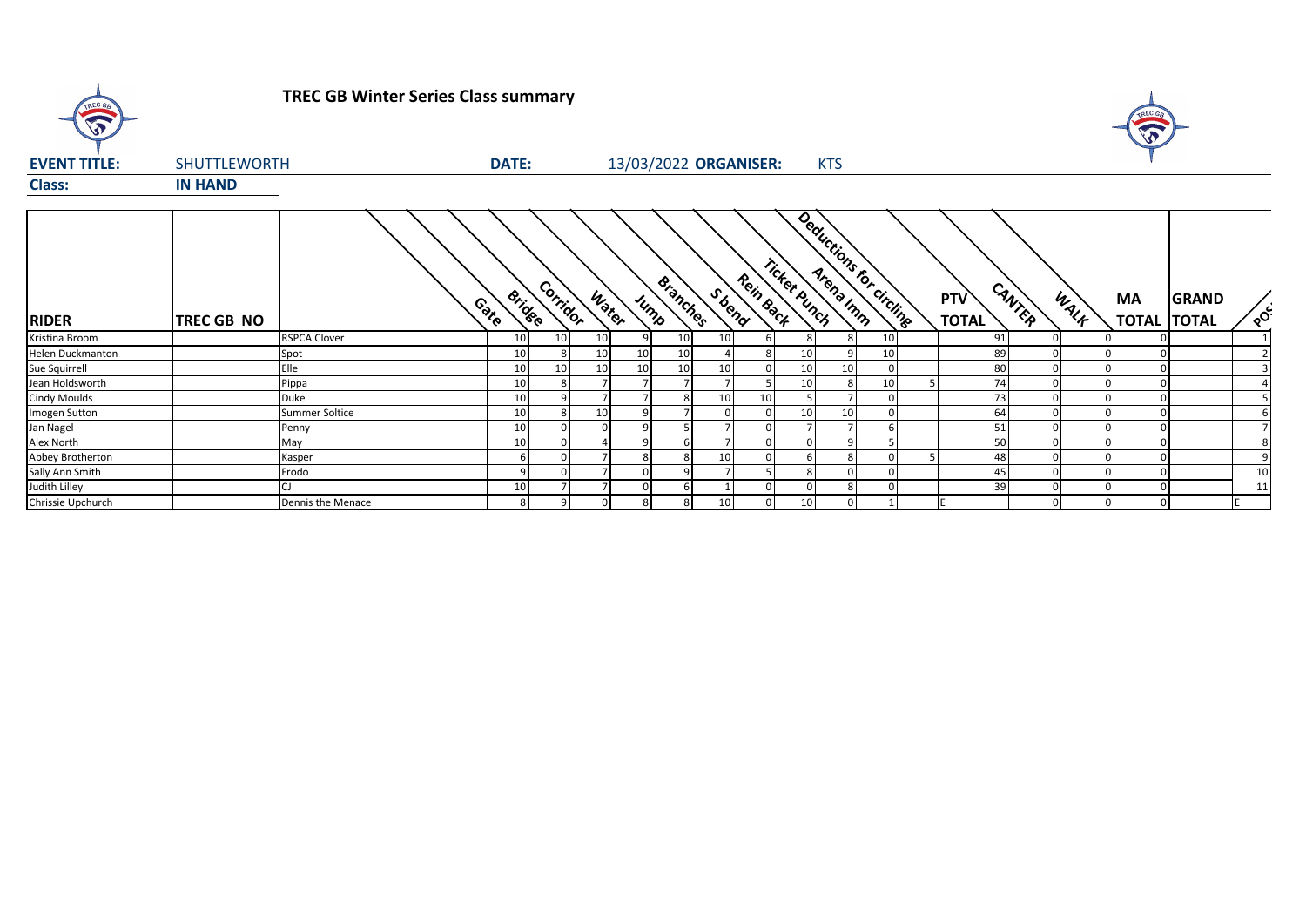

## **TREC GB Winter Series Class summary**



| <b>EVENT TITLE:</b> | <b>SHUTTLEWORTH</b> |                     | <b>DATE:</b>          |          |       |      |                 |                 | 13/03/2022 ORGANISER: |                 | <b>KTS</b>      |    |                         |                     |        |          |    |                                    |          |
|---------------------|---------------------|---------------------|-----------------------|----------|-------|------|-----------------|-----------------|-----------------------|-----------------|-----------------|----|-------------------------|---------------------|--------|----------|----|------------------------------------|----------|
| <b>Class:</b>       | <b>IN HAND</b>      |                     |                       |          |       |      |                 |                 |                       |                 |                 |    |                         |                     |        |          |    |                                    |          |
| <b>RIDER</b>        | <b>TREC GB NO</b>   |                     | <b>Bridge</b><br>Coto | Corridor | Water | Jump | <b>Branches</b> |                 | Rein Back<br>S bend   | Ticket Punch    |                 |    | Deductions for circling | PTV<br><b>TOTAL</b> | CANTER | WALK     | МA | <b>GRAND</b><br><b>TOTAL TOTAL</b> | $\delta$ |
| Kristina Broom      |                     | <b>RSPCA Clover</b> | 10                    | 10       | 10    |      | 10              | 10 <sup>1</sup> |                       |                 | 8               | 10 |                         | 91                  |        |          |    |                                    |          |
| Helen Duckmanton    |                     | Spot                | 10                    |          | 10    | 10   | 10              |                 |                       | 10 <sup>1</sup> |                 | 10 |                         | 89                  |        |          |    |                                    |          |
| Sue Squirrell       |                     | Elle                | 10                    | 10       | 10    | 10   | 10              | 10 <sup>1</sup> |                       | 10 <sup>1</sup> | 10              |    |                         | 80                  |        |          |    |                                    |          |
| Jean Holdsworth     |                     | Pippa               | 10                    |          |       |      |                 |                 |                       | 10 <sup>1</sup> |                 | 10 |                         | 74                  |        |          |    |                                    |          |
| <b>Cindy Moulds</b> |                     | Duke                | 10                    |          |       |      |                 | 10 <sup>1</sup> | 10                    |                 |                 |    |                         | 73                  |        |          |    |                                    |          |
| Imogen Sutton       |                     | Summer Soltice      | 10                    |          | 10    |      |                 |                 |                       | 10 <sup>1</sup> | 10 <sup>1</sup> |    |                         | 64                  |        |          |    |                                    |          |
| Jan Nagel           |                     | Penny               | 10                    |          |       |      |                 |                 |                       |                 |                 |    |                         | 51                  |        |          |    |                                    |          |
| Alex North          |                     | May                 | 10                    |          |       |      |                 |                 |                       |                 |                 |    |                         | 50                  |        |          |    |                                    |          |
| Abbey Brotherton    |                     | Kasper              |                       |          |       |      | 8               | 10              |                       |                 |                 |    |                         | 48                  |        |          |    |                                    |          |
| Sally Ann Smith     |                     | Frodo               |                       |          |       |      |                 |                 |                       |                 |                 |    |                         | 45                  |        |          |    |                                    | 10       |
| Judith Lilley       |                     |                     | 10                    |          |       |      | <b>b</b>        |                 |                       |                 |                 |    |                         | 39                  |        |          |    |                                    | 11       |
| Chrissie Upchurch   |                     | Dennis the Menace   |                       | 9        |       |      | 8               | 10 <sup>1</sup> |                       | 10 <sup>1</sup> | $\Omega$        |    |                         |                     |        | $\Omega$ |    |                                    |          |